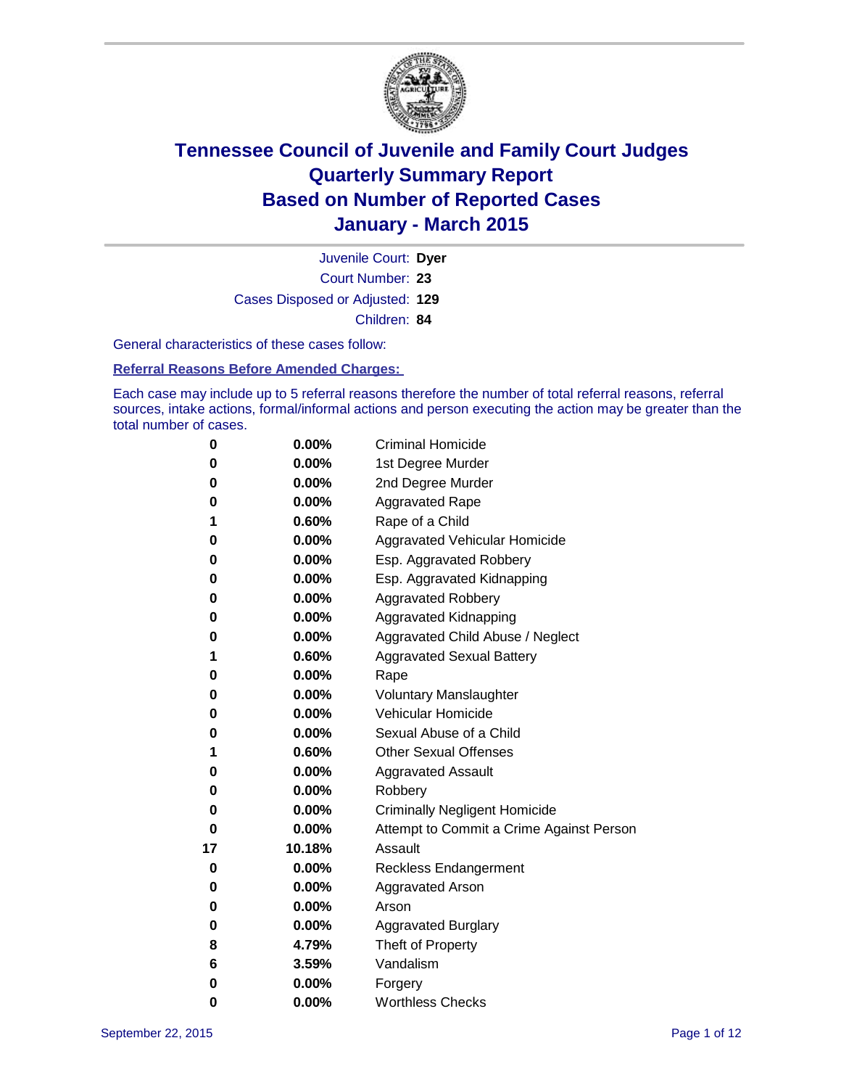

Court Number: **23** Juvenile Court: **Dyer** Cases Disposed or Adjusted: **129** Children: **84**

General characteristics of these cases follow:

**Referral Reasons Before Amended Charges:** 

Each case may include up to 5 referral reasons therefore the number of total referral reasons, referral sources, intake actions, formal/informal actions and person executing the action may be greater than the total number of cases.

| 0  | 0.00%    | <b>Criminal Homicide</b>                 |  |  |  |
|----|----------|------------------------------------------|--|--|--|
| 0  | 0.00%    | 1st Degree Murder                        |  |  |  |
| 0  | 0.00%    | 2nd Degree Murder                        |  |  |  |
| 0  | 0.00%    | <b>Aggravated Rape</b>                   |  |  |  |
| 1  | 0.60%    | Rape of a Child                          |  |  |  |
| 0  | 0.00%    | <b>Aggravated Vehicular Homicide</b>     |  |  |  |
| 0  | 0.00%    | Esp. Aggravated Robbery                  |  |  |  |
| 0  | 0.00%    | Esp. Aggravated Kidnapping               |  |  |  |
| 0  | 0.00%    | <b>Aggravated Robbery</b>                |  |  |  |
| 0  | 0.00%    | Aggravated Kidnapping                    |  |  |  |
| 0  | 0.00%    | Aggravated Child Abuse / Neglect         |  |  |  |
| 1  | 0.60%    | <b>Aggravated Sexual Battery</b>         |  |  |  |
| 0  | 0.00%    | Rape                                     |  |  |  |
| 0  | 0.00%    | <b>Voluntary Manslaughter</b>            |  |  |  |
| 0  | 0.00%    | Vehicular Homicide                       |  |  |  |
| 0  | 0.00%    | Sexual Abuse of a Child                  |  |  |  |
| 1  | 0.60%    | <b>Other Sexual Offenses</b>             |  |  |  |
| 0  | 0.00%    | <b>Aggravated Assault</b>                |  |  |  |
| 0  | $0.00\%$ | Robbery                                  |  |  |  |
| 0  | 0.00%    | <b>Criminally Negligent Homicide</b>     |  |  |  |
| 0  | 0.00%    | Attempt to Commit a Crime Against Person |  |  |  |
| 17 | 10.18%   | Assault                                  |  |  |  |
| 0  | 0.00%    | <b>Reckless Endangerment</b>             |  |  |  |
| 0  | 0.00%    | <b>Aggravated Arson</b>                  |  |  |  |
| 0  | $0.00\%$ | Arson                                    |  |  |  |
| 0  | 0.00%    | <b>Aggravated Burglary</b>               |  |  |  |
| 8  | 4.79%    | Theft of Property                        |  |  |  |
| 6  | 3.59%    | Vandalism                                |  |  |  |
| 0  | 0.00%    | Forgery                                  |  |  |  |
| 0  | 0.00%    | <b>Worthless Checks</b>                  |  |  |  |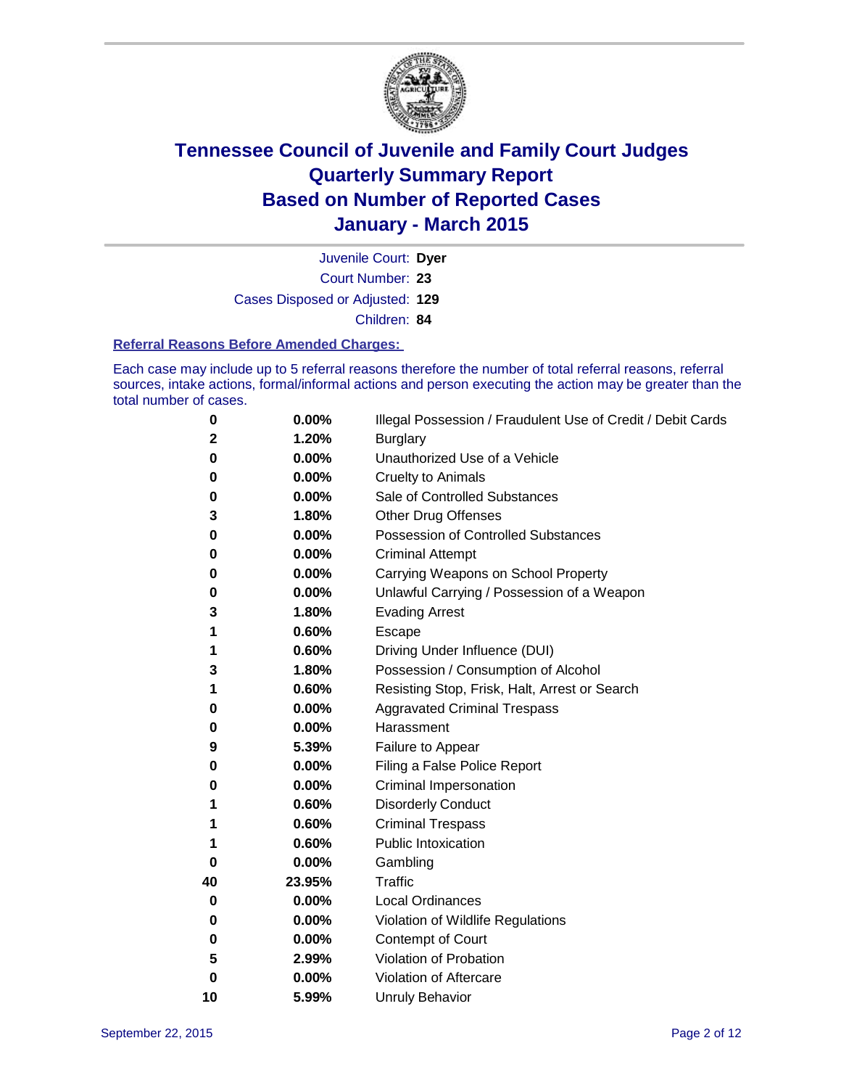

Court Number: **23** Juvenile Court: **Dyer** Cases Disposed or Adjusted: **129** Children: **84**

#### **Referral Reasons Before Amended Charges:**

Each case may include up to 5 referral reasons therefore the number of total referral reasons, referral sources, intake actions, formal/informal actions and person executing the action may be greater than the total number of cases.

| 0        | 0.00%  | Illegal Possession / Fraudulent Use of Credit / Debit Cards |
|----------|--------|-------------------------------------------------------------|
| 2        | 1.20%  | <b>Burglary</b>                                             |
| 0        | 0.00%  | Unauthorized Use of a Vehicle                               |
| 0        | 0.00%  | Cruelty to Animals                                          |
| 0        | 0.00%  | Sale of Controlled Substances                               |
| 3        | 1.80%  | Other Drug Offenses                                         |
| 0        | 0.00%  | <b>Possession of Controlled Substances</b>                  |
| 0        | 0.00%  | <b>Criminal Attempt</b>                                     |
| 0        | 0.00%  | Carrying Weapons on School Property                         |
| 0        | 0.00%  | Unlawful Carrying / Possession of a Weapon                  |
| 3        | 1.80%  | <b>Evading Arrest</b>                                       |
| 1        | 0.60%  | Escape                                                      |
| 1        | 0.60%  | Driving Under Influence (DUI)                               |
| 3        | 1.80%  | Possession / Consumption of Alcohol                         |
| 1        | 0.60%  | Resisting Stop, Frisk, Halt, Arrest or Search               |
| 0        | 0.00%  | <b>Aggravated Criminal Trespass</b>                         |
| 0        | 0.00%  | Harassment                                                  |
| 9        | 5.39%  | Failure to Appear                                           |
| 0        | 0.00%  | Filing a False Police Report                                |
| 0        | 0.00%  | <b>Criminal Impersonation</b>                               |
| 1        | 0.60%  | <b>Disorderly Conduct</b>                                   |
| 1        | 0.60%  | <b>Criminal Trespass</b>                                    |
| 1        | 0.60%  | <b>Public Intoxication</b>                                  |
| 0        | 0.00%  | Gambling                                                    |
| 40       | 23.95% | <b>Traffic</b>                                              |
| 0        | 0.00%  | <b>Local Ordinances</b>                                     |
| 0        | 0.00%  | Violation of Wildlife Regulations                           |
| 0        | 0.00%  | Contempt of Court                                           |
| 5        | 2.99%  | Violation of Probation                                      |
| $\bf{0}$ | 0.00%  | Violation of Aftercare                                      |
| 10       | 5.99%  | <b>Unruly Behavior</b>                                      |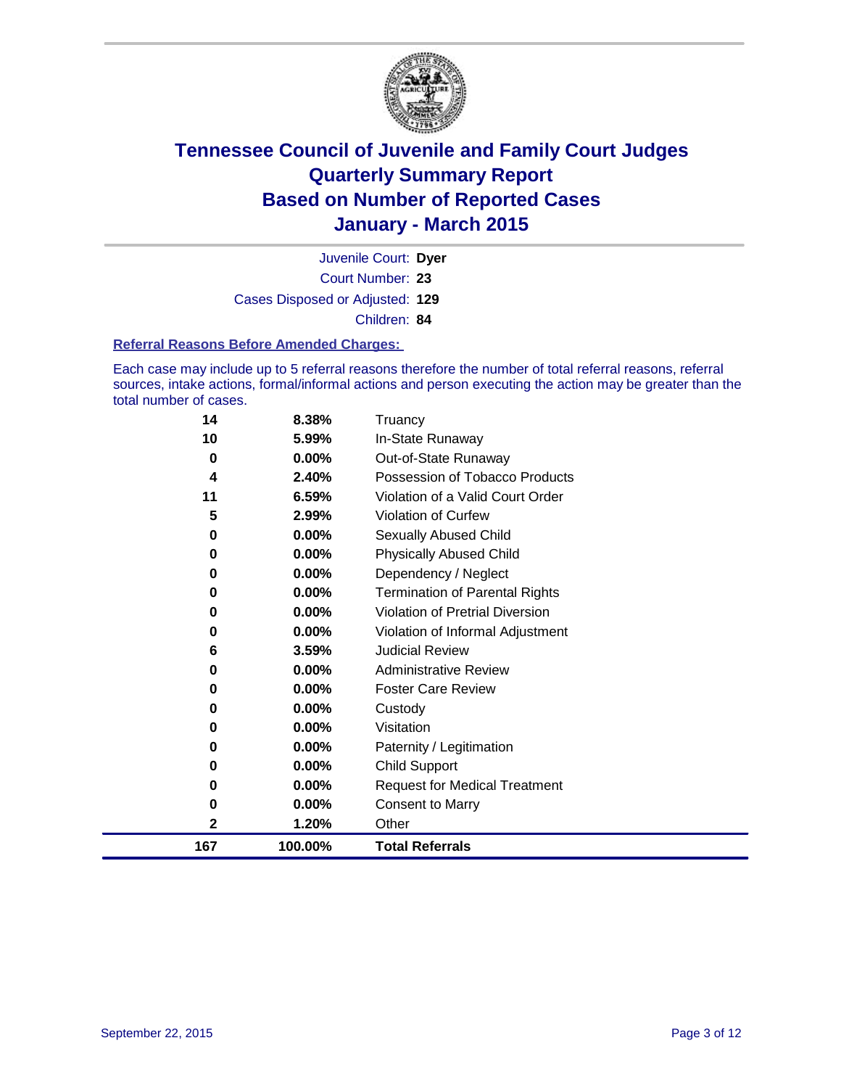

Court Number: **23** Juvenile Court: **Dyer** Cases Disposed or Adjusted: **129** Children: **84**

#### **Referral Reasons Before Amended Charges:**

Each case may include up to 5 referral reasons therefore the number of total referral reasons, referral sources, intake actions, formal/informal actions and person executing the action may be greater than the total number of cases.

| 14  | 8.38%    | Truancy                                |
|-----|----------|----------------------------------------|
| 10  | 5.99%    | In-State Runaway                       |
| 0   | $0.00\%$ | Out-of-State Runaway                   |
| 4   | 2.40%    | Possession of Tobacco Products         |
| 11  | 6.59%    | Violation of a Valid Court Order       |
| 5   | 2.99%    | <b>Violation of Curfew</b>             |
| 0   | 0.00%    | <b>Sexually Abused Child</b>           |
| 0   | 0.00%    | <b>Physically Abused Child</b>         |
| 0   | 0.00%    | Dependency / Neglect                   |
| 0   | 0.00%    | <b>Termination of Parental Rights</b>  |
| 0   | 0.00%    | <b>Violation of Pretrial Diversion</b> |
| 0   | 0.00%    | Violation of Informal Adjustment       |
| 6   | 3.59%    | <b>Judicial Review</b>                 |
| 0   | 0.00%    | <b>Administrative Review</b>           |
| 0   | 0.00%    | <b>Foster Care Review</b>              |
| 0   | $0.00\%$ | Custody                                |
| 0   | 0.00%    | Visitation                             |
| 0   | 0.00%    | Paternity / Legitimation               |
| 0   | 0.00%    | <b>Child Support</b>                   |
| 0   | 0.00%    | <b>Request for Medical Treatment</b>   |
| 0   | 0.00%    | <b>Consent to Marry</b>                |
| 2   | 1.20%    | Other                                  |
| 167 | 100.00%  | <b>Total Referrals</b>                 |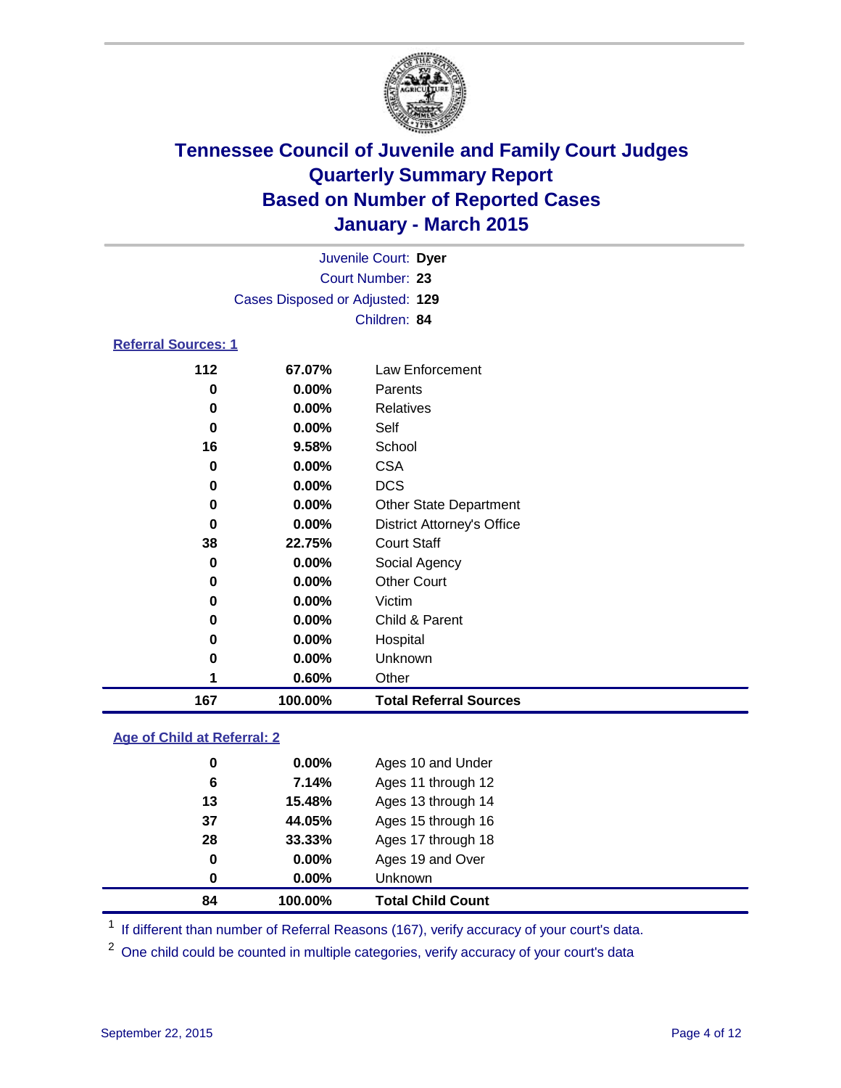

|                                 |                  |        | Juvenile Court: Dyer |  |  |
|---------------------------------|------------------|--------|----------------------|--|--|
|                                 | Court Number: 23 |        |                      |  |  |
| Cases Disposed or Adjusted: 129 |                  |        |                      |  |  |
|                                 | Children: 84     |        |                      |  |  |
| <b>Referral Sources: 1</b>      |                  |        |                      |  |  |
|                                 | 112              | 67.07% | Law Enforcement      |  |  |

| 167   | 100.00%  | <b>Total Referral Sources</b>     |
|-------|----------|-----------------------------------|
| 1     | 0.60%    | Other                             |
| 0     | $0.00\%$ | <b>Unknown</b>                    |
| 0     | $0.00\%$ | Hospital                          |
| 0     | $0.00\%$ | Child & Parent                    |
| 0     | $0.00\%$ | Victim                            |
| 0     | $0.00\%$ | <b>Other Court</b>                |
| 0     | $0.00\%$ | Social Agency                     |
| 38    | 22.75%   | <b>Court Staff</b>                |
| 0     | $0.00\%$ | <b>District Attorney's Office</b> |
| 0     | $0.00\%$ | <b>Other State Department</b>     |
| 0     | $0.00\%$ | <b>DCS</b>                        |
| 0     | $0.00\%$ | <b>CSA</b>                        |
| 16    | 9.58%    | School                            |
| 0     | $0.00\%$ | Self                              |
| 0     | $0.00\%$ | Relatives                         |
| 0     | $0.00\%$ | Parents                           |
| I I 4 | VI.VI 70 | LAW LINVICTIICH                   |

### **Age of Child at Referral: 2**

| 84 | 100.00%  | <b>Total Child Count</b> |
|----|----------|--------------------------|
| 0  | $0.00\%$ | <b>Unknown</b>           |
| 0  | $0.00\%$ | Ages 19 and Over         |
| 28 | 33.33%   | Ages 17 through 18       |
| 37 | 44.05%   | Ages 15 through 16       |
| 13 | 15.48%   | Ages 13 through 14       |
| 6  | 7.14%    | Ages 11 through 12       |
| 0  | $0.00\%$ | Ages 10 and Under        |
|    |          |                          |

<sup>1</sup> If different than number of Referral Reasons (167), verify accuracy of your court's data.

One child could be counted in multiple categories, verify accuracy of your court's data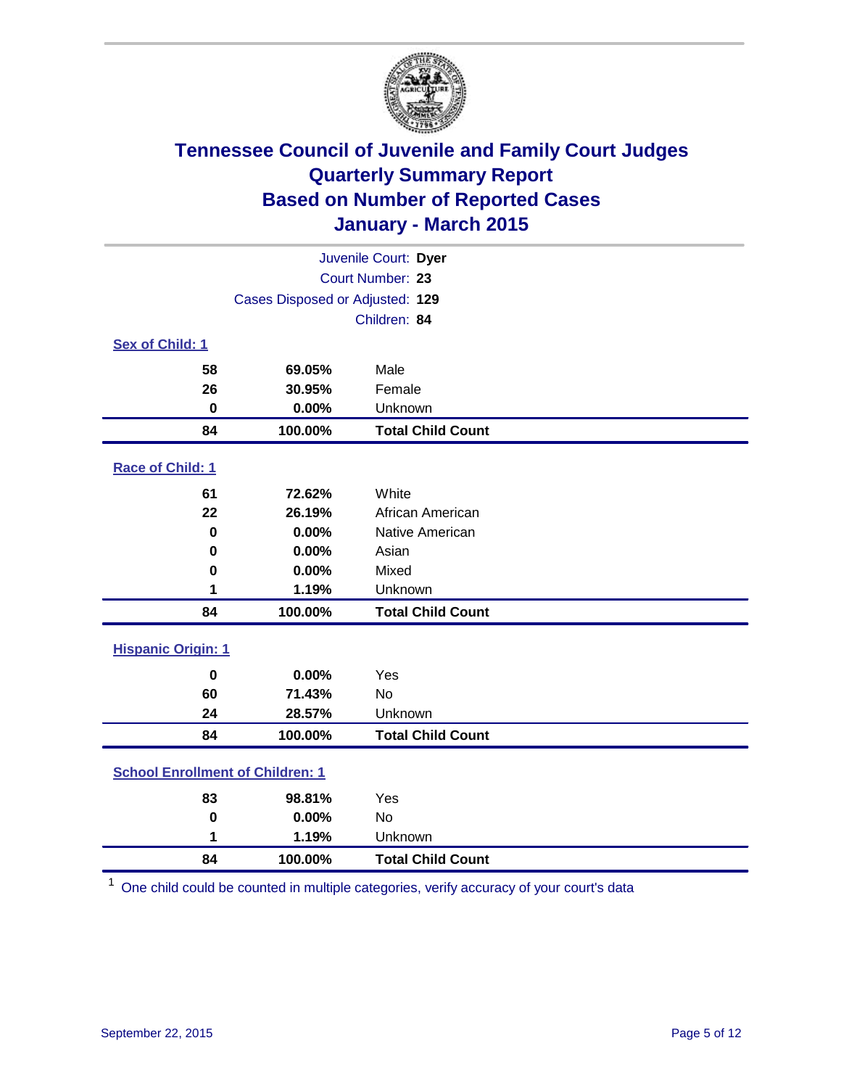

| Juvenile Court: Dyer                    |                                 |                          |  |  |
|-----------------------------------------|---------------------------------|--------------------------|--|--|
|                                         | Court Number: 23                |                          |  |  |
|                                         | Cases Disposed or Adjusted: 129 |                          |  |  |
|                                         |                                 | Children: 84             |  |  |
| <b>Sex of Child: 1</b>                  |                                 |                          |  |  |
| 58                                      | 69.05%                          | Male                     |  |  |
| 26                                      | 30.95%                          | Female                   |  |  |
| $\bf{0}$                                | 0.00%                           | Unknown                  |  |  |
| 84                                      | 100.00%                         | <b>Total Child Count</b> |  |  |
| Race of Child: 1                        |                                 |                          |  |  |
| 61                                      | 72.62%                          | White                    |  |  |
| 22                                      | 26.19%                          | African American         |  |  |
| $\bf{0}$                                | 0.00%                           | Native American          |  |  |
| 0                                       | 0.00%                           | Asian                    |  |  |
| 0                                       | 0.00%                           | Mixed                    |  |  |
| 1                                       | 1.19%                           | Unknown                  |  |  |
| 84                                      | 100.00%                         | <b>Total Child Count</b> |  |  |
| <b>Hispanic Origin: 1</b>               |                                 |                          |  |  |
| $\bf{0}$                                | 0.00%                           | Yes                      |  |  |
| 60                                      | 71.43%                          | No                       |  |  |
| 24                                      | 28.57%                          | Unknown                  |  |  |
| 84                                      | 100.00%                         | <b>Total Child Count</b> |  |  |
| <b>School Enrollment of Children: 1</b> |                                 |                          |  |  |
| 83                                      | 98.81%                          | Yes                      |  |  |
| $\bf{0}$                                | 0.00%                           | No                       |  |  |
| 1                                       | 1.19%                           | Unknown                  |  |  |
| 84                                      | 100.00%                         | <b>Total Child Count</b> |  |  |

One child could be counted in multiple categories, verify accuracy of your court's data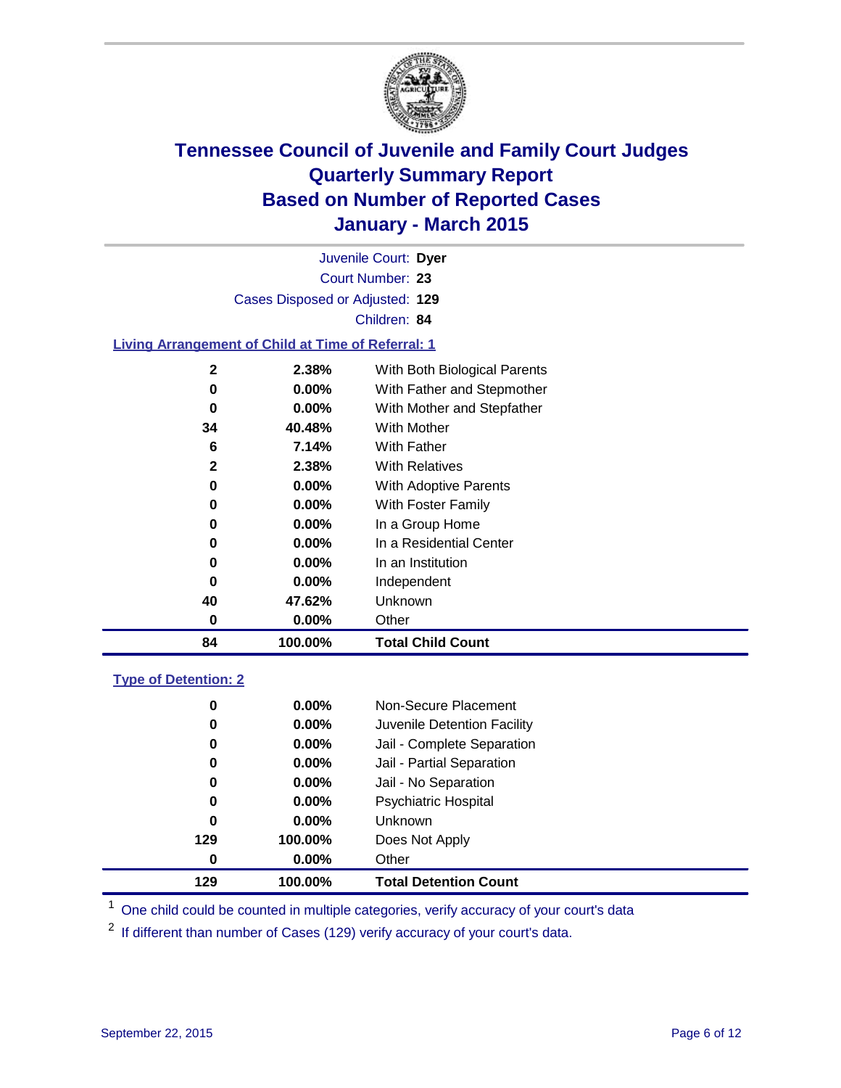

| Juvenile Court: Dyer            |  |
|---------------------------------|--|
| Court Number: 23                |  |
| Cases Disposed or Adjusted: 129 |  |
| Children: 84                    |  |

### **Living Arrangement of Child at Time of Referral: 1**

| 84           | 100.00%  | <b>Total Child Count</b>     |
|--------------|----------|------------------------------|
| 0            | $0.00\%$ | Other                        |
| 40           | 47.62%   | Unknown                      |
| 0            | $0.00\%$ | Independent                  |
| 0            | 0.00%    | In an Institution            |
| 0            | 0.00%    | In a Residential Center      |
| 0            | 0.00%    | In a Group Home              |
| 0            | $0.00\%$ | With Foster Family           |
| 0            | 0.00%    | With Adoptive Parents        |
| $\mathbf{2}$ | 2.38%    | <b>With Relatives</b>        |
| 6            | 7.14%    | With Father                  |
| 34           | 40.48%   | <b>With Mother</b>           |
| 0            | 0.00%    | With Mother and Stepfather   |
| 0            | 0.00%    | With Father and Stepmother   |
| $\mathbf{2}$ | 2.38%    | With Both Biological Parents |
|              |          |                              |

### **Type of Detention: 2**

| 0<br>0<br>0 | $0.00\%$<br>$0.00\%$<br>$0.00\%$ | Non-Secure Placement<br>Juvenile Detention Facility<br>Jail - Complete Separation |
|-------------|----------------------------------|-----------------------------------------------------------------------------------|
| 0           | 0.00%                            | Jail - Partial Separation                                                         |
| 0           | $0.00\%$                         | Jail - No Separation                                                              |
| 0           | $0.00\%$                         | <b>Psychiatric Hospital</b>                                                       |
| 0           | $0.00\%$                         | Unknown                                                                           |
| 129         | 100.00%                          | Does Not Apply                                                                    |
| 0           | $0.00\%$                         | Other                                                                             |
| 129         | 100.00%                          | <b>Total Detention Count</b>                                                      |

<sup>1</sup> One child could be counted in multiple categories, verify accuracy of your court's data

If different than number of Cases (129) verify accuracy of your court's data.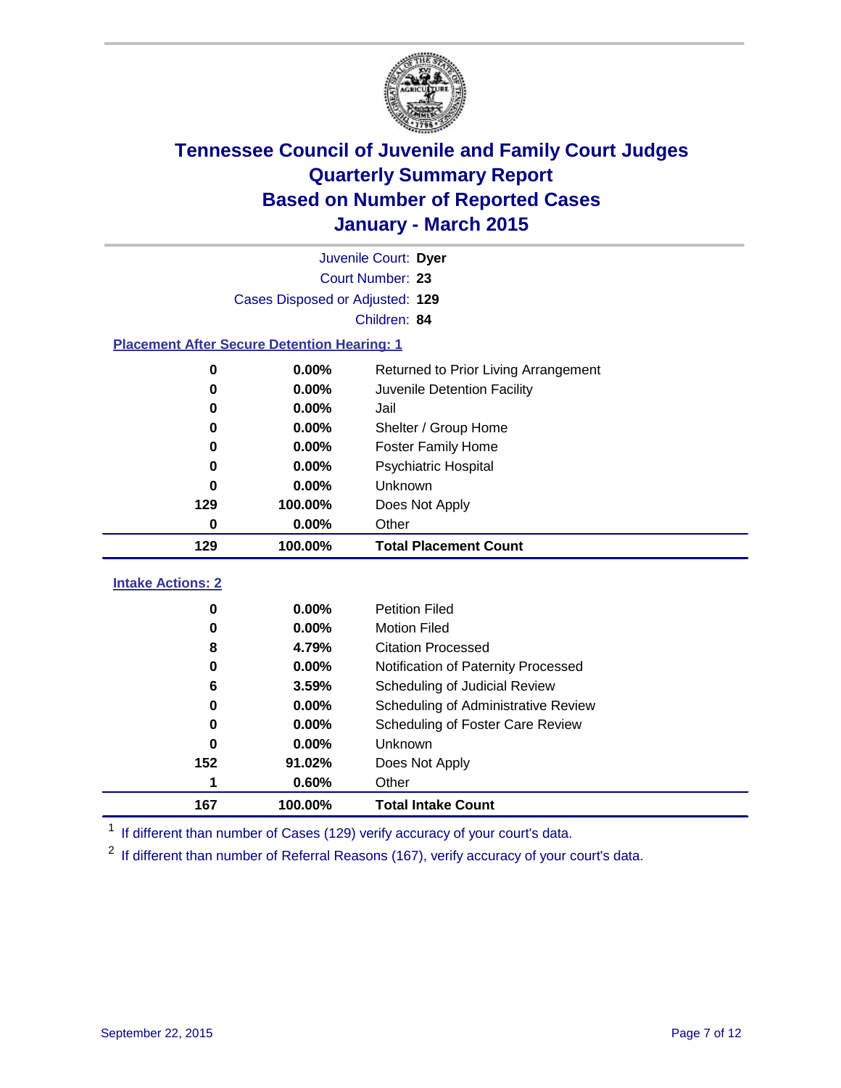

| Juvenile Court: Dyer                               |                                 |                                      |  |  |  |  |
|----------------------------------------------------|---------------------------------|--------------------------------------|--|--|--|--|
|                                                    | Court Number: 23                |                                      |  |  |  |  |
|                                                    | Cases Disposed or Adjusted: 129 |                                      |  |  |  |  |
|                                                    |                                 | Children: 84                         |  |  |  |  |
| <b>Placement After Secure Detention Hearing: 1</b> |                                 |                                      |  |  |  |  |
| 0                                                  | 0.00%                           | Returned to Prior Living Arrangement |  |  |  |  |
| 0                                                  | $0.00\%$                        | Juvenile Detention Facility          |  |  |  |  |
| Ω                                                  | 0.00%                           | Jail                                 |  |  |  |  |
| 0                                                  | 0.00%                           | Shelter / Group Home                 |  |  |  |  |
| 0                                                  | 0.00%                           | <b>Foster Family Home</b>            |  |  |  |  |
| 0.00%<br>n<br>0.00%<br>n                           |                                 | Psychiatric Hospital                 |  |  |  |  |
|                                                    |                                 | <b>Unknown</b>                       |  |  |  |  |
| 129                                                | 100.00%                         | Does Not Apply                       |  |  |  |  |
| 0                                                  | 0.00%                           | Other                                |  |  |  |  |
| 129                                                | 100.00%                         | <b>Total Placement Count</b>         |  |  |  |  |
| <b>Intake Actions: 2</b>                           |                                 |                                      |  |  |  |  |
| 0                                                  | 0.00%                           | <b>Petition Filed</b>                |  |  |  |  |
| 0                                                  | 0.00%                           | <b>Motion Filed</b>                  |  |  |  |  |
| 8                                                  | 4.79%                           | <b>Citation Processed</b>            |  |  |  |  |
| 0                                                  | 0.00%                           | Notification of Paternity Processed  |  |  |  |  |
| 6                                                  | 3.59%                           | Scheduling of Judicial Review        |  |  |  |  |
| 0                                                  | 0.00%                           | Scheduling of Administrative Review  |  |  |  |  |
| Ω                                                  | 0.00%                           | Scheduling of Foster Care Review     |  |  |  |  |
| 0                                                  | 0.00%                           | Unknown                              |  |  |  |  |

<sup>1</sup> If different than number of Cases (129) verify accuracy of your court's data.

**100.00% Total Intake Count**

**91.02%** Does Not Apply

**0.60%** Other

<sup>2</sup> If different than number of Referral Reasons (167), verify accuracy of your court's data.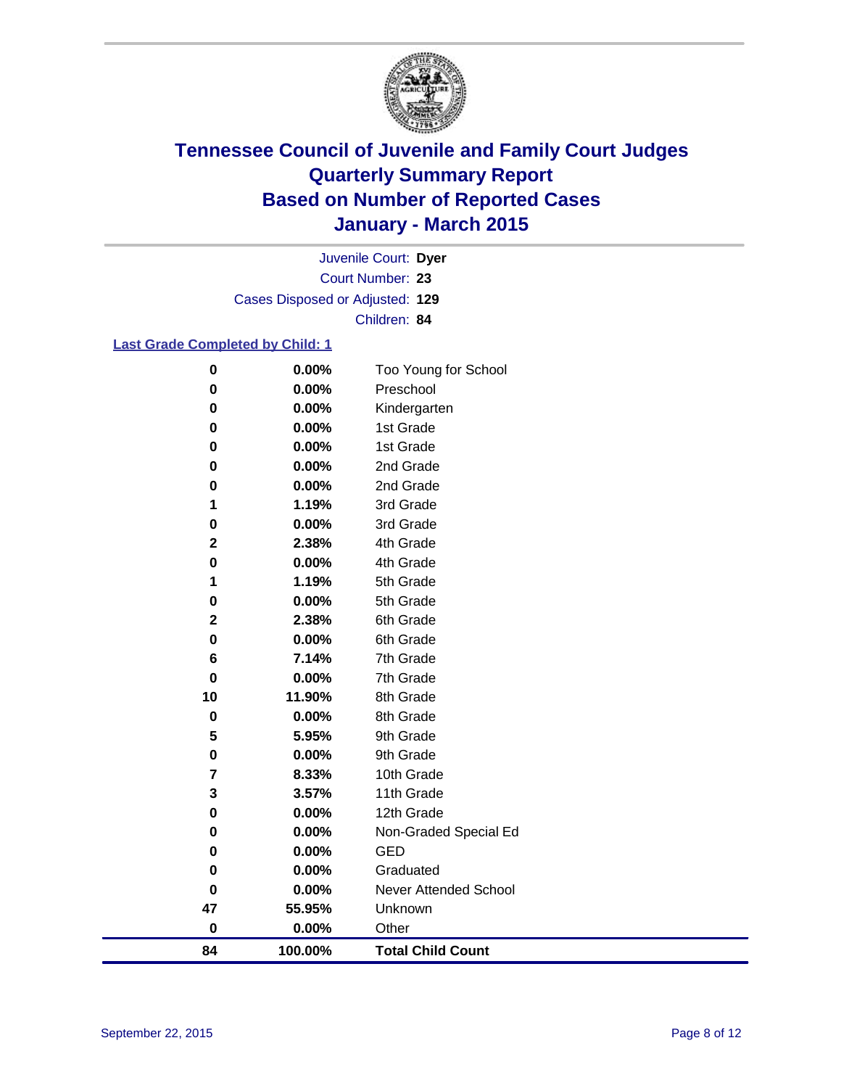

Court Number: **23** Juvenile Court: **Dyer** Cases Disposed or Adjusted: **129** Children: **84**

### **Last Grade Completed by Child: 1**

| $\pmb{0}$               | 0.00%    | Too Young for School         |
|-------------------------|----------|------------------------------|
| $\bf{0}$                | $0.00\%$ | Preschool                    |
| 0                       | 0.00%    | Kindergarten                 |
| 0                       | 0.00%    | 1st Grade                    |
| 0                       | 0.00%    | 1st Grade                    |
| 0                       | 0.00%    | 2nd Grade                    |
| 0                       | 0.00%    | 2nd Grade                    |
| 1                       | 1.19%    | 3rd Grade                    |
| $\pmb{0}$               | 0.00%    | 3rd Grade                    |
| $\mathbf 2$             | 2.38%    | 4th Grade                    |
| $\bf{0}$                | 0.00%    | 4th Grade                    |
| 1                       | 1.19%    | 5th Grade                    |
| $\pmb{0}$               | 0.00%    | 5th Grade                    |
| $\mathbf{2}$            | 2.38%    | 6th Grade                    |
| $\pmb{0}$               | 0.00%    | 6th Grade                    |
| 6                       | 7.14%    | 7th Grade                    |
| $\mathbf 0$             | 0.00%    | 7th Grade                    |
| 10                      | 11.90%   | 8th Grade                    |
| $\pmb{0}$               | 0.00%    | 8th Grade                    |
| $\overline{\mathbf{5}}$ | 5.95%    | 9th Grade                    |
| $\pmb{0}$               | 0.00%    | 9th Grade                    |
| $\overline{\mathbf{r}}$ | 8.33%    | 10th Grade                   |
| 3                       | 3.57%    | 11th Grade                   |
| 0                       | 0.00%    | 12th Grade                   |
| 0                       | 0.00%    | Non-Graded Special Ed        |
| 0                       | 0.00%    | <b>GED</b>                   |
| 0                       | 0.00%    | Graduated                    |
| $\pmb{0}$               | 0.00%    | <b>Never Attended School</b> |
| 47                      | 55.95%   | Unknown                      |
| $\mathbf 0$             | 0.00%    | Other                        |
| 84                      | 100.00%  | <b>Total Child Count</b>     |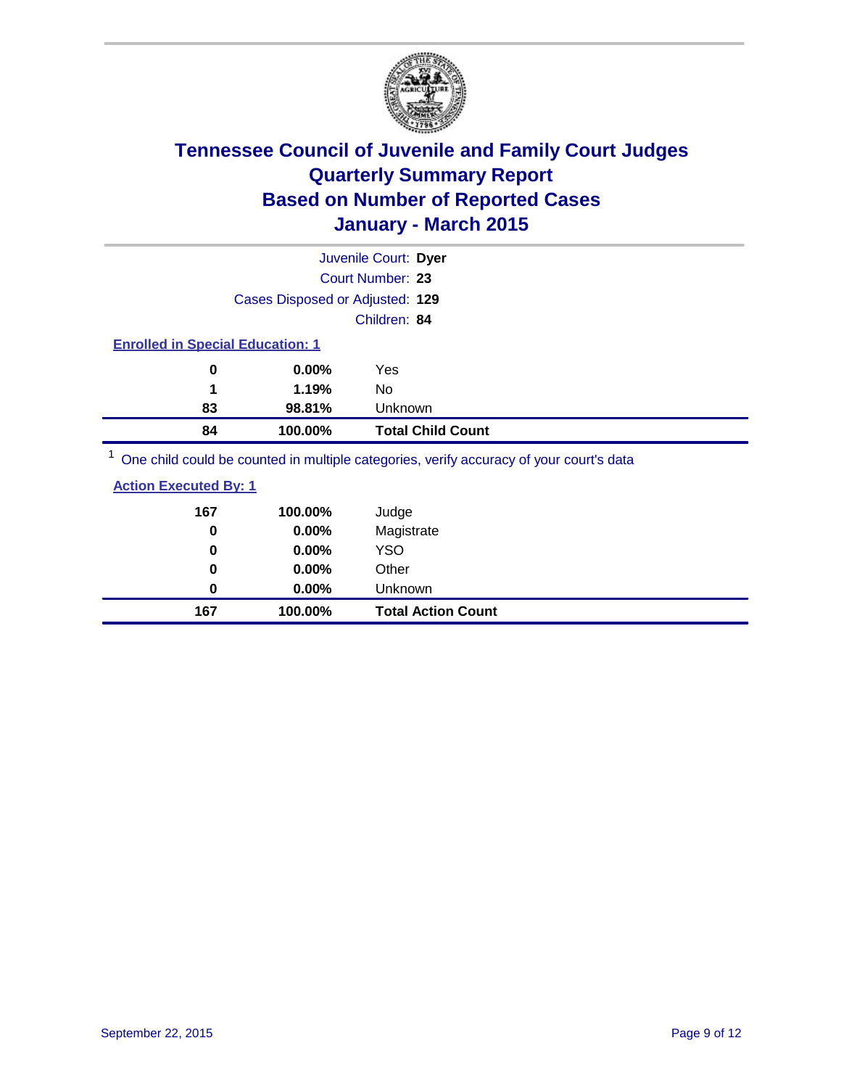

| Juvenile Court: Dyer                                                                                                                               |                          |
|----------------------------------------------------------------------------------------------------------------------------------------------------|--------------------------|
| Court Number: 23                                                                                                                                   |                          |
| Cases Disposed or Adjusted: 129                                                                                                                    |                          |
| Children: 84                                                                                                                                       |                          |
| <b>Enrolled in Special Education: 1</b>                                                                                                            |                          |
| $0.00\%$<br>0<br>Yes                                                                                                                               |                          |
| 1.19%<br>1<br>No                                                                                                                                   |                          |
| 98.81%<br><b>Unknown</b><br>83                                                                                                                     |                          |
| 84<br>100.00%                                                                                                                                      | <b>Total Child Count</b> |
| 1. $\alpha$ , and the contribution of the contribution of the contribution of the contribution of the contribution of the contribution of $\alpha$ |                          |

One child could be counted in multiple categories, verify accuracy of your court's data

| 167 | 100.00%  | Judge                     |
|-----|----------|---------------------------|
| 0   | 0.00%    | Magistrate                |
| 0   | $0.00\%$ | <b>YSO</b>                |
| 0   | $0.00\%$ | Other                     |
| 0   | $0.00\%$ | Unknown                   |
| 167 | 100.00%  | <b>Total Action Count</b> |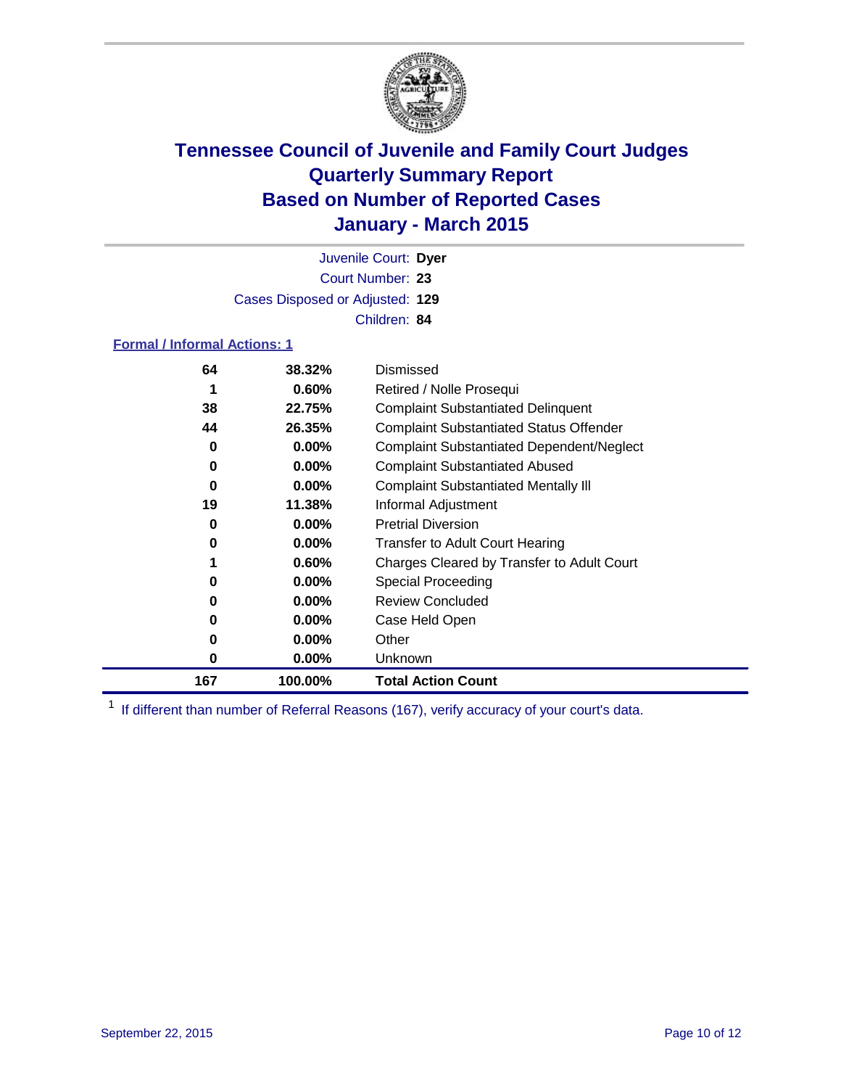

Court Number: **23** Juvenile Court: **Dyer** Cases Disposed or Adjusted: **129** Children: **84**

### **Formal / Informal Actions: 1**

| 64  | 38.32%   | Dismissed                                        |
|-----|----------|--------------------------------------------------|
|     | 0.60%    | Retired / Nolle Prosequi                         |
| 38  | 22.75%   | <b>Complaint Substantiated Delinquent</b>        |
| 44  | 26.35%   | <b>Complaint Substantiated Status Offender</b>   |
| 0   | $0.00\%$ | <b>Complaint Substantiated Dependent/Neglect</b> |
| 0   | $0.00\%$ | <b>Complaint Substantiated Abused</b>            |
| 0   | $0.00\%$ | <b>Complaint Substantiated Mentally III</b>      |
| 19  | 11.38%   | Informal Adjustment                              |
| 0   | $0.00\%$ | <b>Pretrial Diversion</b>                        |
| 0   | $0.00\%$ | <b>Transfer to Adult Court Hearing</b>           |
|     | 0.60%    | Charges Cleared by Transfer to Adult Court       |
| 0   | $0.00\%$ | Special Proceeding                               |
| 0   | $0.00\%$ | <b>Review Concluded</b>                          |
| 0   | $0.00\%$ | Case Held Open                                   |
| 0   | $0.00\%$ | Other                                            |
| 0   | $0.00\%$ | Unknown                                          |
| 167 | 100.00%  | <b>Total Action Count</b>                        |

<sup>1</sup> If different than number of Referral Reasons (167), verify accuracy of your court's data.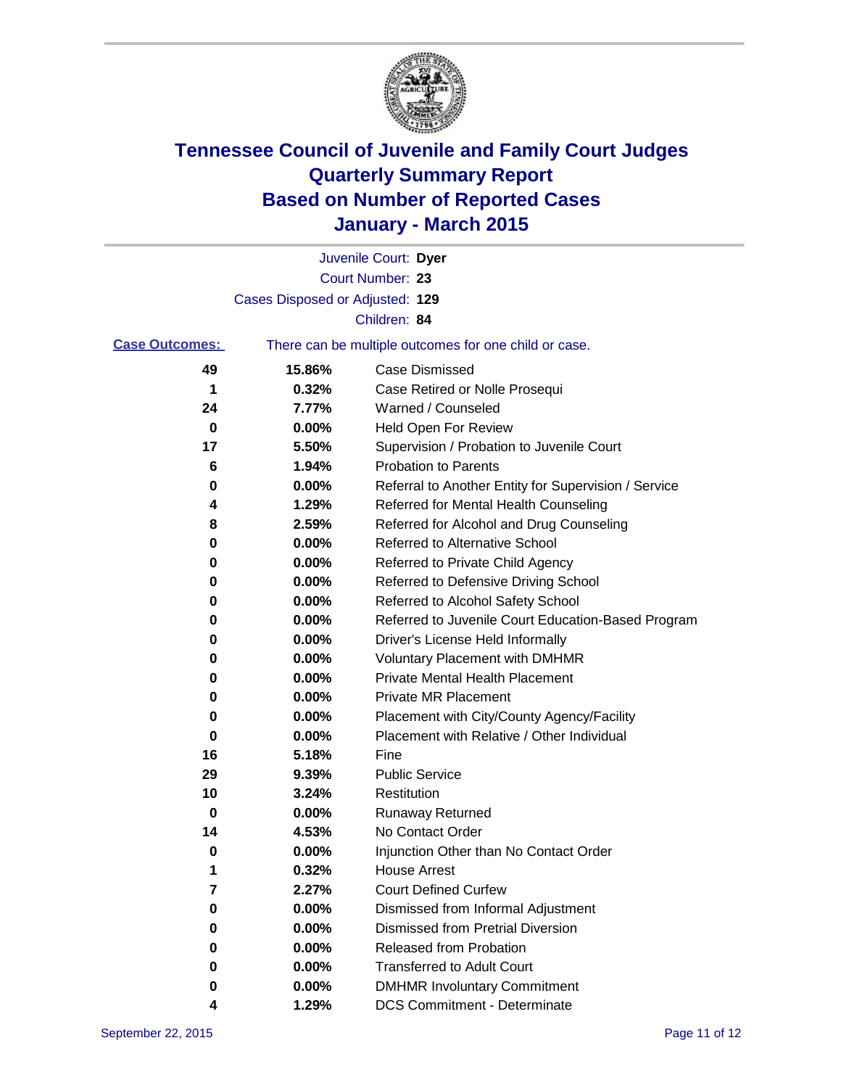

|                       |                                 | Juvenile Court: Dyer                                  |
|-----------------------|---------------------------------|-------------------------------------------------------|
|                       |                                 | Court Number: 23                                      |
|                       | Cases Disposed or Adjusted: 129 |                                                       |
|                       |                                 | Children: 84                                          |
| <b>Case Outcomes:</b> |                                 | There can be multiple outcomes for one child or case. |
| 49                    | 15.86%                          | <b>Case Dismissed</b>                                 |
| 1                     | 0.32%                           | Case Retired or Nolle Prosequi                        |
| 24                    | 7.77%                           | Warned / Counseled                                    |
| 0                     | 0.00%                           | Held Open For Review                                  |
| 17                    | 5.50%                           | Supervision / Probation to Juvenile Court             |
| 6                     | 1.94%                           | <b>Probation to Parents</b>                           |
| 0                     | 0.00%                           | Referral to Another Entity for Supervision / Service  |
| 4                     | 1.29%                           | Referred for Mental Health Counseling                 |
| 8                     | 2.59%                           | Referred for Alcohol and Drug Counseling              |
| 0                     | 0.00%                           | <b>Referred to Alternative School</b>                 |
| 0                     | 0.00%                           | Referred to Private Child Agency                      |
| 0                     | 0.00%                           | Referred to Defensive Driving School                  |
| 0                     | 0.00%                           | Referred to Alcohol Safety School                     |
| 0                     | 0.00%                           | Referred to Juvenile Court Education-Based Program    |
| 0                     | 0.00%                           | Driver's License Held Informally                      |
| 0                     | 0.00%                           | <b>Voluntary Placement with DMHMR</b>                 |
| 0                     | 0.00%                           | <b>Private Mental Health Placement</b>                |
| 0                     | 0.00%                           | <b>Private MR Placement</b>                           |
| 0                     | 0.00%                           | Placement with City/County Agency/Facility            |
| 0                     | 0.00%                           | Placement with Relative / Other Individual            |
| 16                    | 5.18%                           | Fine                                                  |
| 29                    | 9.39%                           | <b>Public Service</b>                                 |
| 10                    | 3.24%                           | Restitution                                           |
| 0                     | 0.00%                           | <b>Runaway Returned</b>                               |
| 14                    | 4.53%                           | No Contact Order                                      |
| 0                     | 0.00%                           | Injunction Other than No Contact Order                |
| 1                     | 0.32%                           | <b>House Arrest</b>                                   |
| 7                     | 2.27%                           | <b>Court Defined Curfew</b>                           |
| 0                     | 0.00%                           | Dismissed from Informal Adjustment                    |
| 0                     | 0.00%                           | <b>Dismissed from Pretrial Diversion</b>              |
| 0                     | 0.00%                           | Released from Probation                               |
| 0                     | 0.00%                           | <b>Transferred to Adult Court</b>                     |
| 0                     | 0.00%                           | <b>DMHMR Involuntary Commitment</b>                   |
| 4                     | 1.29%                           | <b>DCS Commitment - Determinate</b>                   |